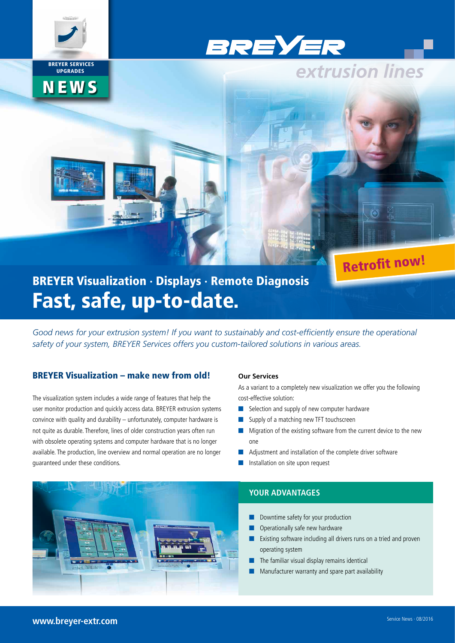

 BREYER SERVICES UPGRADES

**NEWS** 

BREYER

# BREYER Visualization · Displays · Remote Diagnosis Fast, safe, up-to-date.

*Good news for your extrusion system! If you want to sustainably and cost-efficiently ensure the operational safety of your system, BREYER Services offers you custom-tailored solutions in various areas.*

### BREYER Visualization – make new from old!

The visualization system includes a wide range of features that help the user monitor production and quickly access data. BREYER extrusion systems convince with quality and durability – unfortunately, computer hardware is not quite as durable. Therefore, lines of older construction years often run with obsolete operating systems and computer hardware that is no longer available. The production, line overview and normal operation are no longer guaranteed under these conditions.

#### **Our Services**

As a variant to a completely new visualization we offer you the following cost-effective solution:

Retrofit now!

extrusion lines

- $\blacksquare$  Selection and supply of new computer hardware
- $\blacksquare$  Supply of a matching new TFT touchscreen
- $\blacksquare$  Migration of the existing software from the current device to the new one
- $\blacksquare$  Adjustment and installation of the complete driver software
- $\blacksquare$  Installation on site upon request



# **YOUR ADVANTAGES**

- Downtime safety for your production
- $\blacksquare$  Operationally safe new hardware
- Existing software including all drivers runs on a tried and proven operating system
- The familiar visual display remains identical
- Manufacturer warranty and spare part availability